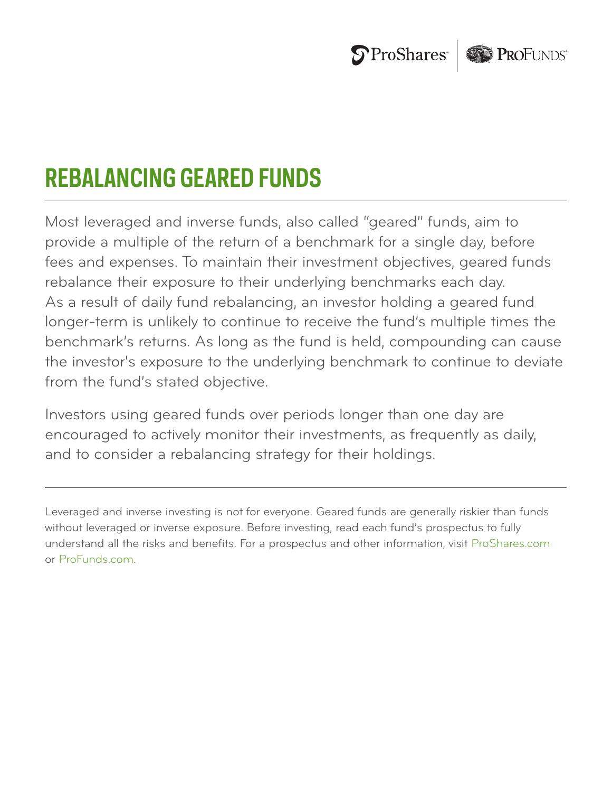

# **REBALANCING GEARED FUNDS**

Most leveraged and inverse funds, also called "geared" funds, aim to provide a multiple of the return of a benchmark for a single day, before fees and expenses. To maintain their investment objectives, geared funds rebalance their exposure to their underlying benchmarks each day. As a result of daily fund rebalancing, an investor holding a geared fund longer-term is unlikely to continue to receive the fund's multiple times the benchmark's returns. As long as the fund is held, compounding can cause the investor's exposure to the underlying benchmark to continue to deviate from the fund's stated objective.

Investors using geared funds over periods longer than one day are encouraged to actively monitor their investments, as frequently as daily, and to consider a rebalancing strategy for their holdings.

Leveraged and inverse investing is not for everyone. Geared funds are generally riskier than funds without leveraged or inverse exposure. Before investing, read each fund's prospectus to fully understand all the risks and benefits. For a prospectus and other information, visit ProShares.com or ProFunds.com.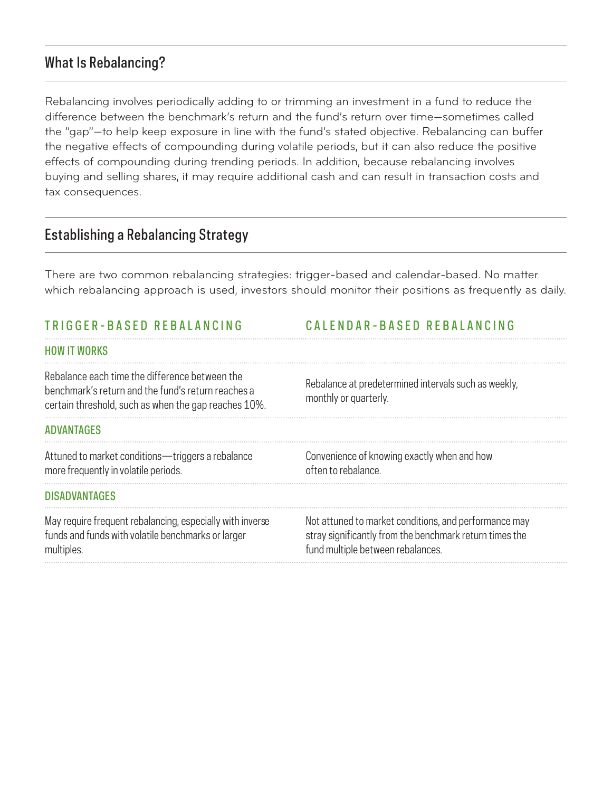# What Is Rebalancing?

Rebalancing involves periodically adding to or trimming an investment in a fund to reduce the difference between the benchmark's return and the fund's return over time—sometimes called the "gap"—to help keep exposure in line with the fund's stated objective. Rebalancing can buffer the negative effects of compounding during volatile periods, but it can also reduce the positive effects of compounding during trending periods. In addition, because rebalancing involves buying and selling shares, it may require additional cash and can result in transaction costs and tax consequences.

## Establishing a Rebalancing Strategy

There are two common rebalancing strategies: trigger-based and calendar-based. No matter which rebalancing approach is used, investors should monitor their positions as frequently as daily.

#### TRIGGER-BASED REBALANCIN G C ALENDAR-BASED REBALANCING HOW IT WORKS Rebalance each time the difference between the benchmark's return and the fund's return reaches a certain threshold, such as when the gap reaches 10%. Rebalance at predetermined intervals such as weekly, monthly or quarterly. ADVANTAGES Attuned to market conditions—triggers a rebalance more frequently in volatile periods. Convenience of knowing exactly when and how often to rebalance. DISADVANTAGES May require frequent rebalancing, especially with inverse funds and funds with volatile benchmarks or larger multiples. Not attuned to market conditions, and performance may stray significantly from the benchmark return times the fund multiple between rebalances.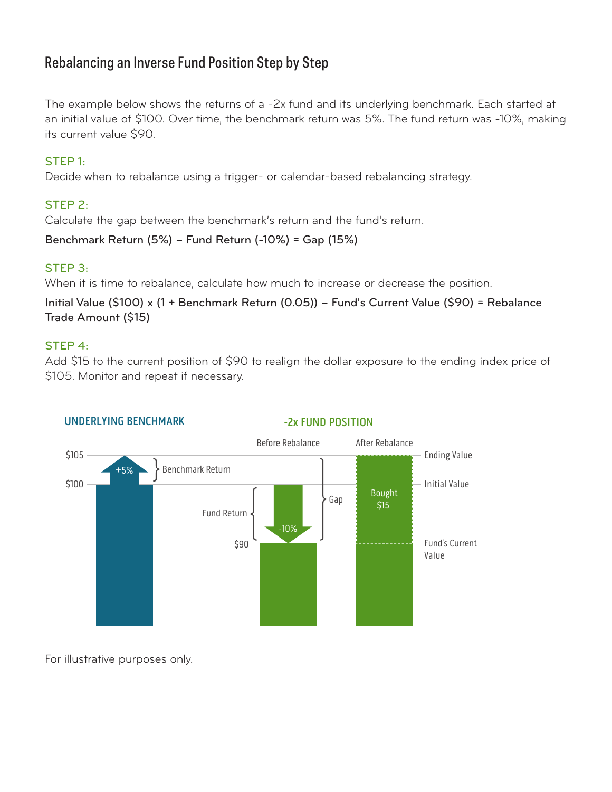## Rebalancing an Inverse Fund Position Step by Step

The example below shows the returns of a -2x fund and its underlying benchmark. Each started at an initial value of \$100. Over time, the benchmark return was 5%. The fund return was -10%, making its current value \$90.

#### STEP 1:

Decide when to rebalance using a trigger- or calendar-based rebalancing strategy.

## STEP 2:

Calculate the gap between the benchmark's return and the fund's return.

Benchmark Return (5%) – Fund Return (-10%) = Gap (15%)

#### STEP 3:

When it is time to rebalance, calculate how much to increase or decrease the position.

Initial Value (\$100) x (1 + Benchmark Return (0.05)) – Fund's Current Value (\$90) = Rebalance Trade Amount (\$15)

#### STEP 4:

Add \$15 to the current position of \$90 to realign the dollar exposure to the ending index price of \$105. Monitor and repeat if necessary.



## UNDERLYING BENCHMARK

For illustrative purposes only.

## -2x FUND POSITION